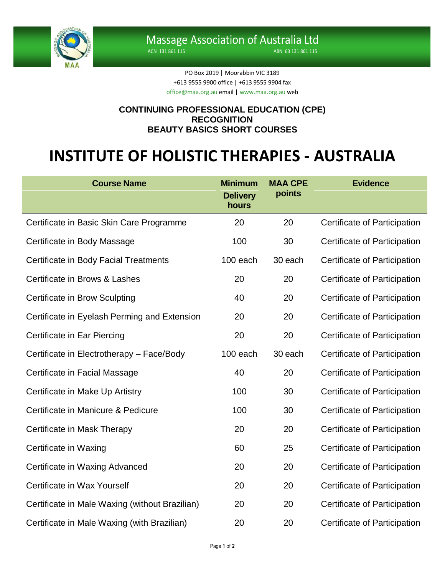

ACN 131 861 115 ABN 63 131 861 115

PO Box 2019 | Moorabbin VIC 3189 +613 9555 9900 office | +613 9555 9904 fax [office@maa.org.au](mailto:office@maa.org.au) email [| www.maa.org.au](http://www.maa.org.au/) web

## **CONTINUING PROFESSIONAL EDUCATION (CPE) RECOGNITION BEAUTY BASICS SHORT COURSES**

## **INSTITUTE OF HOLISTIC THERAPIES - AUSTRALIA**

| <b>Course Name</b>                             | <b>Minimum</b><br><b>Delivery</b><br>hours | <b>MAA CPE</b><br>points | <b>Evidence</b>              |
|------------------------------------------------|--------------------------------------------|--------------------------|------------------------------|
| Certificate in Basic Skin Care Programme       | 20                                         | 20                       | Certificate of Participation |
| Certificate in Body Massage                    | 100                                        | 30                       | Certificate of Participation |
| <b>Certificate in Body Facial Treatments</b>   | 100 each                                   | 30 each                  | Certificate of Participation |
| Certificate in Brows & Lashes                  | 20                                         | 20                       | Certificate of Participation |
| <b>Certificate in Brow Sculpting</b>           | 40                                         | 20                       | Certificate of Participation |
| Certificate in Eyelash Perming and Extension   | 20                                         | 20                       | Certificate of Participation |
| Certificate in Ear Piercing                    | 20                                         | 20                       | Certificate of Participation |
| Certificate in Electrotherapy - Face/Body      | 100 each                                   | 30 each                  | Certificate of Participation |
| Certificate in Facial Massage                  | 40                                         | 20                       | Certificate of Participation |
| Certificate in Make Up Artistry                | 100                                        | 30                       | Certificate of Participation |
| Certificate in Manicure & Pedicure             | 100                                        | 30                       | Certificate of Participation |
| Certificate in Mask Therapy                    | 20                                         | 20                       | Certificate of Participation |
| Certificate in Waxing                          | 60                                         | 25                       | Certificate of Participation |
| Certificate in Waxing Advanced                 | 20                                         | 20                       | Certificate of Participation |
| Certificate in Wax Yourself                    | 20                                         | 20                       | Certificate of Participation |
| Certificate in Male Waxing (without Brazilian) | 20                                         | 20                       | Certificate of Participation |
| Certificate in Male Waxing (with Brazilian)    | 20                                         | 20                       | Certificate of Participation |